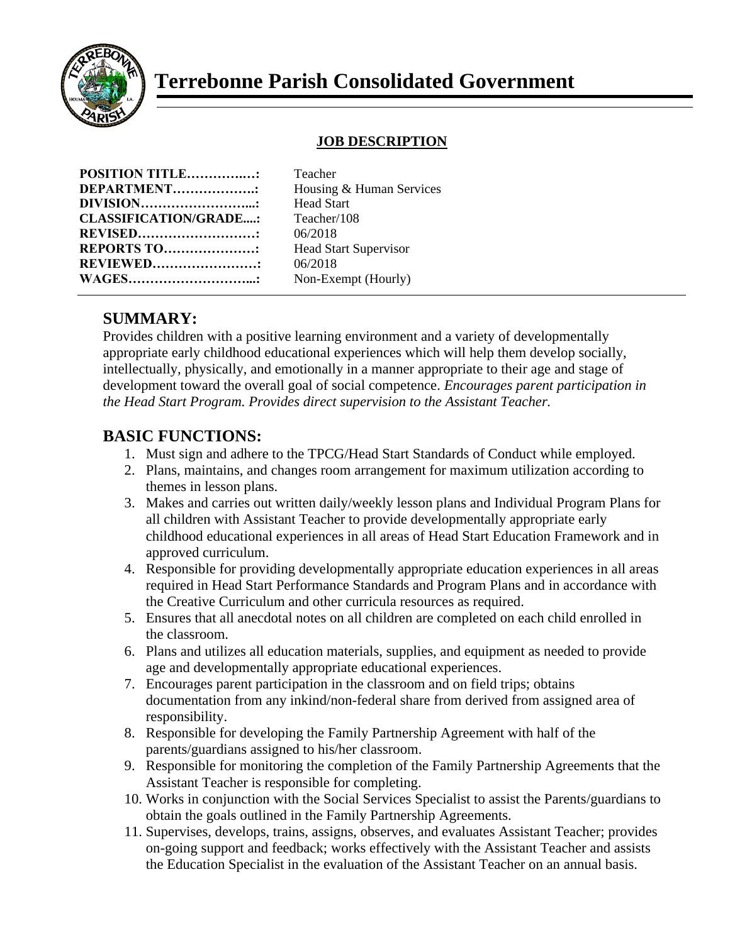

# **Terrebonne Parish Consolidated Government**

#### **JOB DESCRIPTION**

| <b>POSITION TITLE:</b>       |  |
|------------------------------|--|
| DEPARTMENT:                  |  |
| DIVISION                     |  |
| <b>CLASSIFICATION/GRADE:</b> |  |
| <b>REVISED</b>               |  |
| <b>REPORTS TO</b>            |  |
| <b>REVIEWED</b>              |  |
| <b>WAGES</b>                 |  |

**Teacher** Housing & Human Services **Head Start CLASSIFICATION/GRADE....:** Teacher/108 **REVISED………………………:** 06/2018 **Head Start Supervisor REVIEWED……………………:** 06/2018 Non-Exempt (Hourly)

### **SUMMARY:**

Provides children with a positive learning environment and a variety of developmentally appropriate early childhood educational experiences which will help them develop socially, intellectually, physically, and emotionally in a manner appropriate to their age and stage of development toward the overall goal of social competence. *Encourages parent participation in the Head Start Program. Provides direct supervision to the Assistant Teacher.*

### **BASIC FUNCTIONS:**

- 1. Must sign and adhere to the TPCG/Head Start Standards of Conduct while employed.
- 2. Plans, maintains, and changes room arrangement for maximum utilization according to themes in lesson plans.
- 3. Makes and carries out written daily/weekly lesson plans and Individual Program Plans for all children with Assistant Teacher to provide developmentally appropriate early childhood educational experiences in all areas of Head Start Education Framework and in approved curriculum.
- 4. Responsible for providing developmentally appropriate education experiences in all areas required in Head Start Performance Standards and Program Plans and in accordance with the Creative Curriculum and other curricula resources as required.
- 5. Ensures that all anecdotal notes on all children are completed on each child enrolled in the classroom.
- 6. Plans and utilizes all education materials, supplies, and equipment as needed to provide age and developmentally appropriate educational experiences.
- 7. Encourages parent participation in the classroom and on field trips; obtains documentation from any inkind/non-federal share from derived from assigned area of responsibility.
- 8. Responsible for developing the Family Partnership Agreement with half of the parents/guardians assigned to his/her classroom.
- 9. Responsible for monitoring the completion of the Family Partnership Agreements that the Assistant Teacher is responsible for completing.
- 10. Works in conjunction with the Social Services Specialist to assist the Parents/guardians to obtain the goals outlined in the Family Partnership Agreements.
- 11. Supervises, develops, trains, assigns, observes, and evaluates Assistant Teacher; provides on-going support and feedback; works effectively with the Assistant Teacher and assists the Education Specialist in the evaluation of the Assistant Teacher on an annual basis.